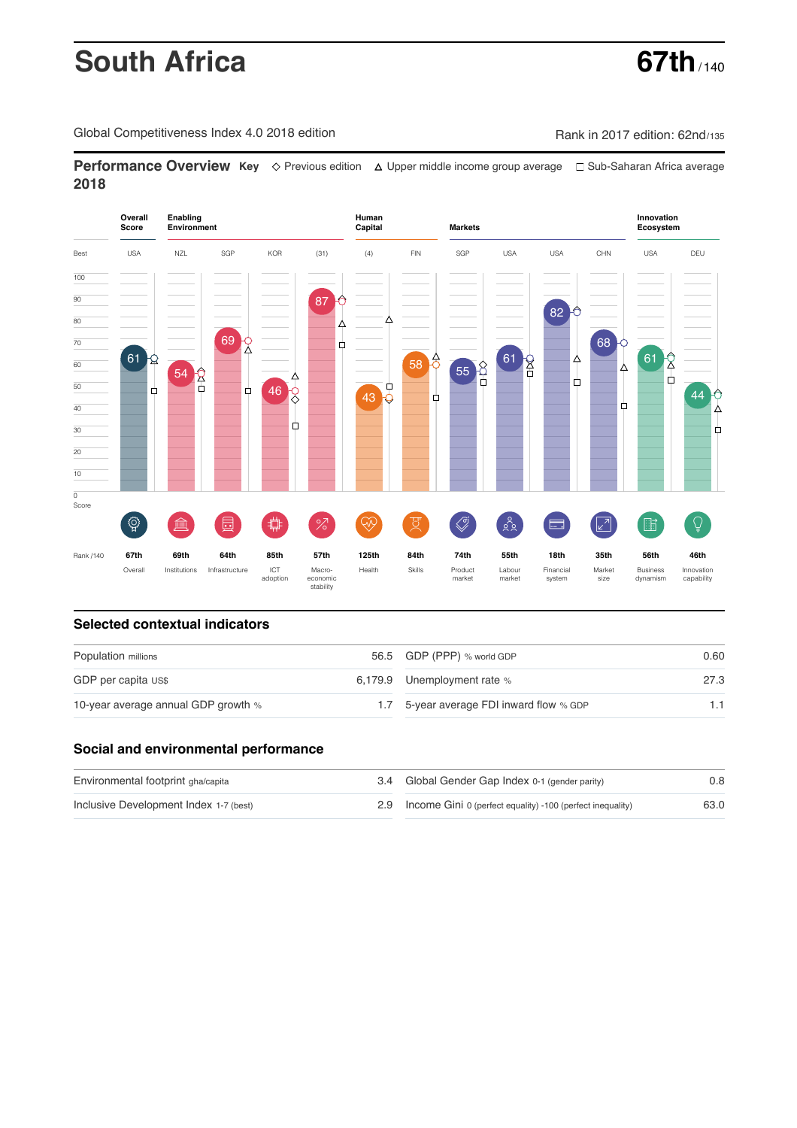# **South Africa** 67th

Global Competitiveness Index 4.0 2018 edition Rank in 2017 edition: 62nd/135

**Performance Overview Key** Previous edition Upper middle income group average Sub-Saharan Africa average **2018**



#### **Selected contextual indicators**

| Population millions                 | 56.5 GDP (PPP) % world GDP               | 0.60 |  |
|-------------------------------------|------------------------------------------|------|--|
| GDP per capita US\$                 | 6,179.9 Unemployment rate %              | 27.3 |  |
| 10-year average annual GDP growth % | 1.7 5-year average FDI inward flow % GDP | 1.1  |  |

## **Social and environmental performance**

| Environmental footprint gha/capita     | 3.4 Global Gender Gap Index 0-1 (gender parity)                | 0.8  |
|----------------------------------------|----------------------------------------------------------------|------|
| Inclusive Development Index 1-7 (best) | 2.9 Income Gini 0 (perfect equality) -100 (perfect inequality) | 63.0 |

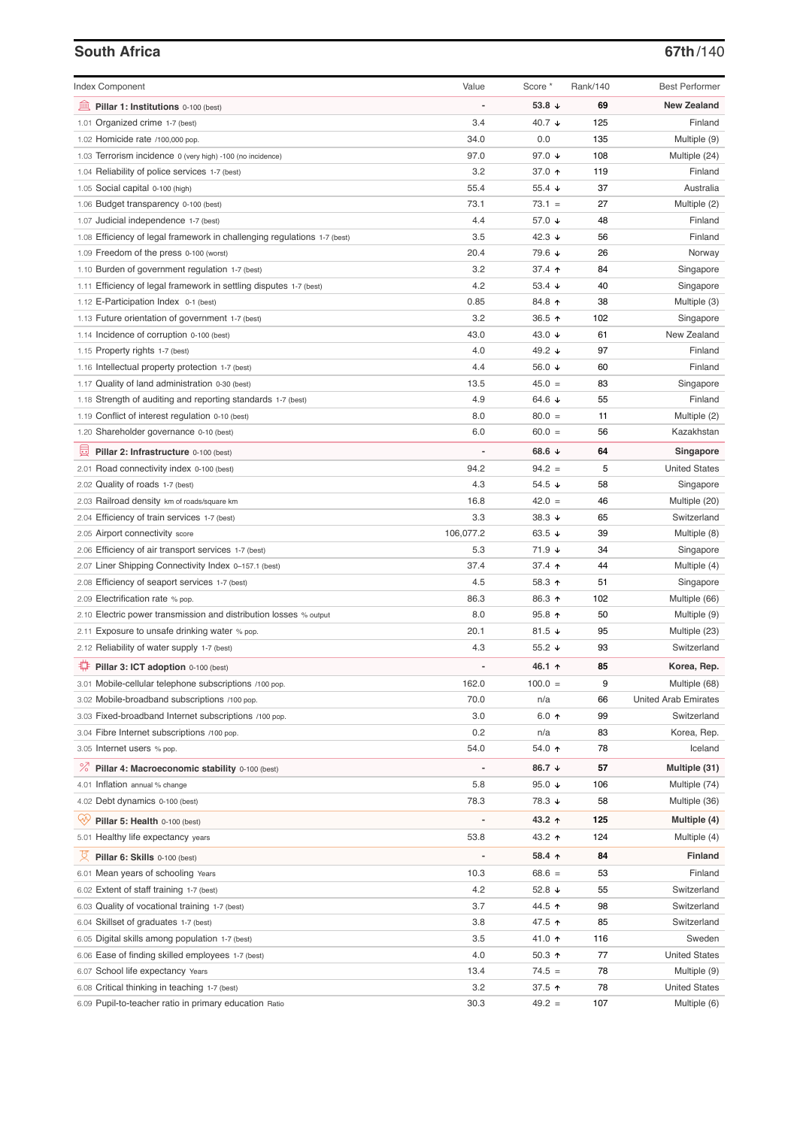### **South Africa 67th**/140

| <b>Index Component</b>                                                   | Value          | Score *                 | Rank/140 | <b>Best Performer</b>       |
|--------------------------------------------------------------------------|----------------|-------------------------|----------|-----------------------------|
| Pillar 1: Institutions 0-100 (best)                                      |                | 53.8 $\sqrt{ }$         | 69       | <b>New Zealand</b>          |
| 1.01 Organized crime 1-7 (best)                                          | 3.4            | 40.7 ↓                  | 125      | Finland                     |
| 1.02 Homicide rate /100,000 pop.                                         | 34.0           | 0.0                     | 135      | Multiple (9)                |
| 1.03 Terrorism incidence 0 (very high) -100 (no incidence)               | 97.0           | 97.0 ↓                  | 108      | Multiple (24)               |
| 1.04 Reliability of police services 1-7 (best)                           | 3.2            | 37.0 ↑                  | 119      | Finland                     |
| 1.05 Social capital 0-100 (high)                                         | 55.4           | 55.4 $\sqrt{ }$         | 37       | Australia                   |
| 1.06 Budget transparency 0-100 (best)                                    | 73.1           | $73.1 =$                | 27       | Multiple (2)                |
| 1.07 Judicial independence 1-7 (best)                                    | 4.4            | 57.0 ↓                  | 48       | Finland                     |
| 1.08 Efficiency of legal framework in challenging regulations 1-7 (best) | 3.5            | 42.3 $\sqrt{ }$         | 56       | Finland                     |
| 1.09 Freedom of the press 0-100 (worst)                                  | 20.4           | 79.6 ↓                  | 26       | Norway                      |
| 1.10 Burden of government regulation 1-7 (best)                          | 3.2            | 37.4 $\uparrow$         | 84       | Singapore                   |
| 1.11 Efficiency of legal framework in settling disputes 1-7 (best)       | 4.2            | 53.4 $\sqrt{ }$         | 40       | Singapore                   |
| 1.12 E-Participation Index 0-1 (best)                                    | 0.85           | 84.8 ↑                  | 38       | Multiple (3)                |
| 1.13 Future orientation of government 1-7 (best)                         | 3.2            | 36.5 ↑                  | 102      | Singapore                   |
| 1.14 Incidence of corruption 0-100 (best)                                | 43.0           | 43.0 $\sqrt{ }$         | 61       | New Zealand                 |
| 1.15 Property rights 1-7 (best)                                          | 4.0            | 49.2 ↓                  | 97       | Finland                     |
| 1.16 Intellectual property protection 1-7 (best)                         | 4.4            | 56.0 ↓                  | 60       | Finland                     |
| 1.17 Quality of land administration 0-30 (best)                          | 13.5           | $45.0 =$                | 83       | Singapore                   |
| 1.18 Strength of auditing and reporting standards 1-7 (best)             | 4.9            | 64.6 $\sqrt{ }$         | 55       | Finland                     |
| 1.19 Conflict of interest regulation 0-10 (best)                         | 8.0            | $80.0 =$                | 11       | Multiple (2)                |
| 1.20 Shareholder governance 0-10 (best)                                  | 6.0            | $60.0 =$                | 56       | Kazakhstan                  |
|                                                                          |                |                         |          |                             |
| Pillar 2: Infrastructure 0-100 (best)                                    |                | 68.6 $\sqrt{ }$         | 64       | Singapore                   |
| 2.01 Road connectivity index 0-100 (best)                                | 94.2           | $94.2 =$                | 5        | <b>United States</b>        |
| 2.02 Quality of roads 1-7 (best)                                         | 4.3            | 54.5 $\sqrt{ }$         | 58       | Singapore                   |
| 2.03 Railroad density km of roads/square km                              | 16.8           | $42.0 =$                | 46       | Multiple (20)               |
| 2.04 Efficiency of train services 1-7 (best)                             | 3.3            | 38.3 $\downarrow$       | 65       | Switzerland                 |
| 2.05 Airport connectivity score                                          | 106,077.2      | 63.5 $\sqrt{ }$         | 39       | Multiple (8)                |
| 2.06 Efficiency of air transport services 1-7 (best)                     | 5.3            | 71.9 ↓                  | 34       | Singapore                   |
| 2.07 Liner Shipping Connectivity Index 0-157.1 (best)                    | 37.4           | 37.4 $\uparrow$         | 44       | Multiple (4)                |
| 2.08 Efficiency of seaport services 1-7 (best)                           | 4.5            | 58.3 ↑                  | 51       | Singapore                   |
| 2.09 Electrification rate % pop.                                         | 86.3           | 86.3 ↑                  | 102      | Multiple (66)               |
| 2.10 Electric power transmission and distribution losses % output        | 8.0            | $95.8$ ↑                | 50       | Multiple (9)                |
| 2.11 Exposure to unsafe drinking water % pop.                            | 20.1           | 81.5 $\sqrt{ }$         | 95       | Multiple (23)               |
| 2.12 Reliability of water supply 1-7 (best)                              | 4.3            | 55.2 $\sqrt{ }$         | 93       | Switzerland                 |
| Pillar 3: ICT adoption 0-100 (best)                                      |                | 46.1 ተ                  | 85       | Korea, Rep.                 |
| 3.01 Mobile-cellular telephone subscriptions /100 pop.                   | 162.0          | $100.0 =$               | 9        | Multiple (68)               |
| 3.02 Mobile-broadband subscriptions /100 pop.                            | 70.0           | n/a                     | 66       | <b>United Arab Emirates</b> |
| 3.03 Fixed-broadband Internet subscriptions /100 pop.                    | 3.0            | $6.0 \text{ } \uparrow$ | 99       | Switzerland                 |
| 3.04 Fibre Internet subscriptions /100 pop.                              | 0.2            | n/a                     | 83       | Korea, Rep.                 |
| 3.05 Internet users % pop.                                               | 54.0           | 54.0 ↑                  | 78       | Iceland                     |
|                                                                          |                |                         |          |                             |
| ℅<br>Pillar 4: Macroeconomic stability 0-100 (best)                      | $\overline{a}$ | 86.7 ↓                  | 57       | Multiple (31)               |
| 4.01 Inflation annual % change                                           | 5.8            | 95.0 $\sqrt{ }$         | 106      | Multiple (74)               |
| 4.02 Debt dynamics 0-100 (best)                                          | 78.3           | 78.3 ↓                  | 58       | Multiple (36)               |
| Qiy<br>Pillar 5: Health 0-100 (best)                                     |                | 43.2 ↑                  | 125      | Multiple (4)                |
| 5.01 Healthy life expectancy years                                       | 53.8           | 43.2 ↑                  | 124      | Multiple (4)                |
| 섯<br>Pillar 6: Skills 0-100 (best)                                       | $\overline{a}$ | 58.4 ↑                  | 84       | <b>Finland</b>              |
| 6.01 Mean years of schooling Years                                       | 10.3           | $68.6 =$                | 53       | Finland                     |
| 6.02 Extent of staff training 1-7 (best)                                 | 4.2            | 52.8 $\sqrt{ }$         | 55       | Switzerland                 |
| 6.03 Quality of vocational training 1-7 (best)                           | 3.7            | 44.5 ↑                  | 98       | Switzerland                 |
| 6.04 Skillset of graduates 1-7 (best)                                    | 3.8            | 47.5 ↑                  | 85       | Switzerland                 |
| 6.05 Digital skills among population 1-7 (best)                          | 3.5            | 41.0 ↑                  | 116      | Sweden                      |
| 6.06 Ease of finding skilled employees 1-7 (best)                        | 4.0            | 50.3 ↑                  | 77       | <b>United States</b>        |
| 6.07 School life expectancy Years                                        | 13.4           | $74.5 =$                | 78       | Multiple (9)                |
| 6.08 Critical thinking in teaching 1-7 (best)                            | 3.2            | 37.5 个                  | 78       | <b>United States</b>        |
| 6.09 Pupil-to-teacher ratio in primary education Ratio                   | 30.3           | $49.2 =$                | 107      | Multiple (6)                |